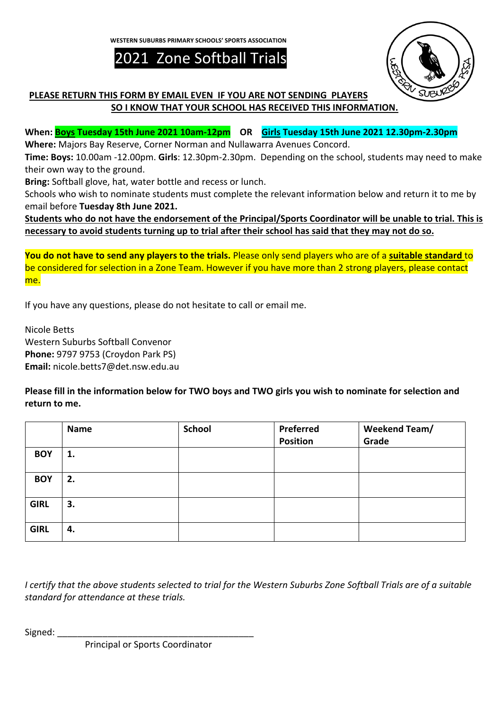**WESTERN SUBURBS PRIMARY SCHOOLS' SPORTS ASSOCIATION**

2021 Zone Softball Trials



## **PLEASE RETURN THIS FORM BY EMAIL EVEN IF YOU ARE NOT SENDING PLAYERS SO I KNOW THAT YOUR SCHOOL HAS RECEIVED THIS INFORMATION.**

**When: Boys Tuesday 15th June 2021 10am-12pm OR Girls Tuesday 15th June 2021 12.30pm-2.30pm**

**Where:** Majors Bay Reserve, Corner Norman and Nullawarra Avenues Concord.

**Time: Boys:** 10.00am -12.00pm. **Girls**: 12.30pm-2.30pm. Depending on the school, students may need to make their own way to the ground.

**Bring:** Softball glove, hat, water bottle and recess or lunch.

Schools who wish to nominate students must complete the relevant information below and return it to me by email before **Tuesday 8th June 2021.**

**Students who do not have the endorsement of the Principal/Sports Coordinator will be unable to trial. This is necessary to avoid students turning up to trial after their school has said that they may not do so.**

**You do not have to send any players to the trials.** Please only send players who are of a **suitable standard** to be considered for selection in a Zone Team. However if you have more than 2 strong players, please contact me.

If you have any questions, please do not hesitate to call or email me.

Nicole Betts Western Suburbs Softball Convenor **Phone:** 9797 9753 (Croydon Park PS) **Email:** nicole.betts7@det.nsw.edu.au

**Please fill in the information below for TWO boys and TWO girls you wish to nominate for selection and return to me.**

|             | <b>Name</b> | <b>School</b> | Preferred<br><b>Position</b> | Weekend Team/<br>Grade |
|-------------|-------------|---------------|------------------------------|------------------------|
| <b>BOY</b>  | 1.          |               |                              |                        |
| <b>BOY</b>  | 2.          |               |                              |                        |
| <b>GIRL</b> | 3.          |               |                              |                        |
| <b>GIRL</b> | 4.          |               |                              |                        |

*I certify that the above students selected to trial for the Western Suburbs Zone Softball Trials are of a suitable standard for attendance at these trials.*

Signed:

Principal or Sports Coordinator